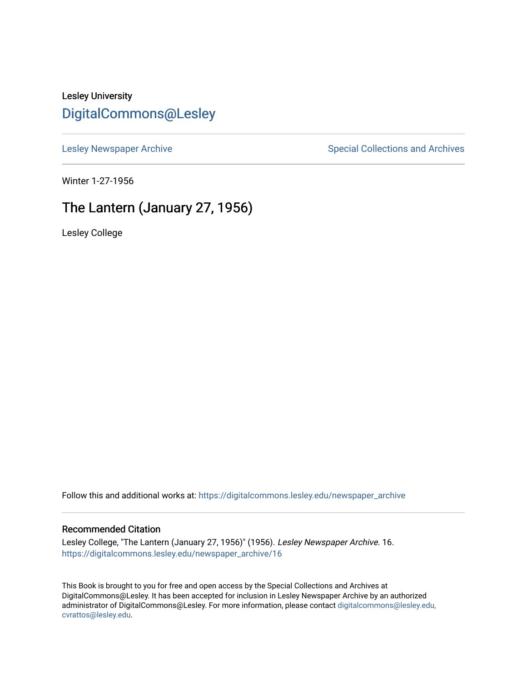### Lesley University [DigitalCommons@Lesley](https://digitalcommons.lesley.edu/)

[Lesley Newspaper Archive](https://digitalcommons.lesley.edu/newspaper_archive) **Special Collections and Archives** Special Collections and Archives

Winter 1-27-1956

## The Lantern (January 27, 1956)

Lesley College

Follow this and additional works at: [https://digitalcommons.lesley.edu/newspaper\\_archive](https://digitalcommons.lesley.edu/newspaper_archive?utm_source=digitalcommons.lesley.edu%2Fnewspaper_archive%2F16&utm_medium=PDF&utm_campaign=PDFCoverPages)

#### Recommended Citation

Lesley College, "The Lantern (January 27, 1956)" (1956). Lesley Newspaper Archive. 16. [https://digitalcommons.lesley.edu/newspaper\\_archive/16](https://digitalcommons.lesley.edu/newspaper_archive/16?utm_source=digitalcommons.lesley.edu%2Fnewspaper_archive%2F16&utm_medium=PDF&utm_campaign=PDFCoverPages) 

This Book is brought to you for free and open access by the Special Collections and Archives at DigitalCommons@Lesley. It has been accepted for inclusion in Lesley Newspaper Archive by an authorized administrator of DigitalCommons@Lesley. For more information, please contact [digitalcommons@lesley.edu,](mailto:digitalcommons@lesley.edu,%20cvrattos@lesley.edu)  [cvrattos@lesley.edu.](mailto:digitalcommons@lesley.edu,%20cvrattos@lesley.edu)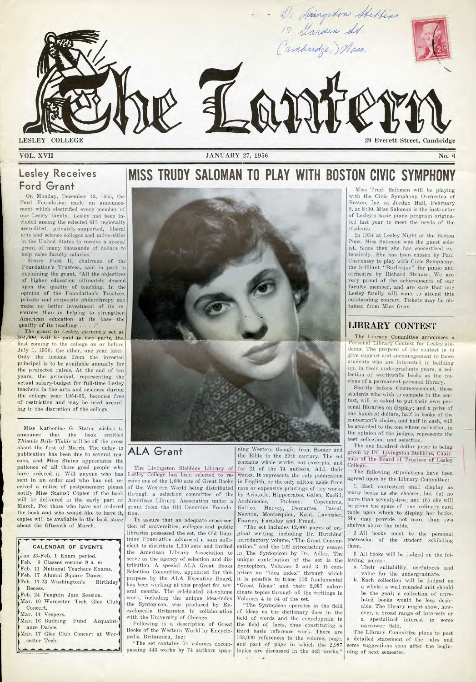

**VOL. XVII** 

**JANUARY 27, 1956** No. 6

**MISS TRUDY SALOMAN TO PLAY WITH BOSTON CIVIC SYMPHONY** 

# **Lesley Receives Ford Grant**

On Monday, December 12, 1955, the Ford Foundation made an announcement which electrified every member of our Lesley family. Lesley had been included among the selected 615 regionally accredited, privately-supported, liberal arts and science colleges and universities in the United States to receive a special grant of many thousands of dollars to help raise faculty salaries.

Henry Ford II, chairman of the Foundation's Trustees, aid in part in explaining the grant, "All the objectives of higher education ultimately depend upon the quality of teaching. In the opinion of the Foundation's Trustees, private and corporate philanthropy can make no better in vestment of its resources than in helping to strengthen American education at its base-the quality of its teaching . . . ."

/. The grant *to* Lesley, currently set ai \$64,000, will be paid in two parts, the first coming to the college on or before July 1, 1956; the other, one year later. Only the income from the invested principal is to be available annually for the projected raises. At the end of ten years, the principal, representing the actual salary-budget for full-time Lesley teachers in .the arts and sciences during the college year 1954-55, becomes free of restriction and may be used according to the discretion of the college.

Miss Katherine G. Stains wishes to announce that the book entitled *T'/iimble Bells Tinkle* will be off the press about the first of March. The delay in publication has been due to several reasons, and Miss Stains appreciates the patience of all those goad people who have ordered it. Will anyone who has sent in an order and who has not received a notice of postponement please notify Miss Stains? Copies of the book will be delivered in the early part of March. For those who have not ordered the book and who would like to have it, copies will be available in the book store about the fifteenth of March.

.................................... **CALENDAR OF EVENTS** 

Jan 23-Feb. 1 Exam period. Feb. 6 Classes resume 9 a. m. Feb. 11 National Teachers Exams. Feb. 17 Alumni Square Dance. Feb. 17-23 Washington's Birthday' Recess. Feb. 24 Penguin Jam Session. Mar. 10 Worcester Tech Glee Club

Concert. Mar. 14 Vespers.

Mar. 16 Building Fund Acquaint-

ance Dance. Mar. 17 Glee Club Concert at Worcester Tech.



# **ALA Grant**

The Livingston Stebbins Library of Lesley College has been selected to receive one of the 1,600 sets of Great Books of the Western World being distributed through a selection committee of the American Library Association under a grant from the Old Dominion Foundation.

To assure that an adequate cross-section of universities, colleges and public libraries possessed the set, the Old Dominion Foundation advanced a sum sufficient to distribute 1,000 sets and invited the American Library Association to serve as the agency of selection and distribution. A special ALA Great Books Selection Committee, appointed for this purpose by the ALA Executive Board, has been working at this project for several months. The celebrated 54-volume work, including the unique idea-index the Syntopicon, was produced by Encyclopedia Britannica in collaboration with the University of Chicago.

Following is a description of Great Books of the Western World by Encyclopedia Britannica, Inc:

"The set contains 54 volumes encompassing 443 works by 74 authors spanning Western thought from Homer and the Bible to the 20th century. The set contains whole works, not excerpts, and for 21 of the 74 authors, ALL their works. It represents the only publication in English, or the only edition aside from rare or expensive printings of key works by Aristotle, Hippocrates, Galen, Euclid, Archimedes, Ptolemy, Copernicus, Galileo, Harvey, Descartes, Pascal, Newton, Montesquieu, Kant, Lavoisier, Fourier, Faraday and Freud.

"The set includes 12,000 pages of original writing, including Dr. Hutchins' introductory volume, "The Great Conversation," and the 102 introductory essays in The Syntopicon by Dr. Adler. The unique contribution of the set is the Syntopicon, Volumes 2 and 3. It comprises an "idea index" through which it is possible to trace 102 fundamental "Great Ideas" and their 2,987 subordinate topics through all the writings in Volumes 4 to 54 of the set.

"The Syntopicon operates in the field of ideas as the dictionary does in the field of words and the encyclopedia in the field of facts, thus constituting a third basic reference work. There are 163,000 references to the volume, page, and part of page in which the 2,987 topics are discussed in the 443 works."

Miss Trudi Salomon will be playing with the Civic Symphony Orchestra of Boston, Inc. at Jordan Hall, February 9, at 8 :30. Miss Salomon is the instructor of Lesley's basic piano program originated last year to meet the needs of the students.

In 1954 at Lesley Night at the Boston Pops, Miss Salomon was the guest soloist. Since then she has concertized extensively. She has been chosen by Paul Cherkassy to play with Civic Symphony, the brilliant "Burlesque" for piano and orchestra by Richard Strauss. We are very proud of the achievements of our faculty member, and are sure that our Lesley family will want to attend this outstanding concert. Tickets may be obtained from Miss Gray.

### **LIBRARY CONTEST**

The Library Committee announces a Personal Library Contest for Lesley students. The purpose of the contest is to give support and encouragement to those students who are interested in building up, in their undergraduate years, a collection of worthwhile books as the nucleus of a permanent personal library.

Shortly before Commencement, those students who wish to compete in the contest, will be asked to put their own personal libraries on display; and a prize of one hundred dollars, half in books of the contestant's choice, and half in cash, will be awarded to the one whose collection, in the opinion of the judges, represents the best collection and selection.

The one hundred dollar prize is being given by Dr. Livingston Stebbins, Chairman of the Board of Trustees of Lesley College.

The following stipulations have been agreed upon by the Library Committee:

1. Each contestant shall display as many books as she chooses, but (a) no more than seventy-five; and (b) she will be given the space of one ordinary card table upon which to display her books. She may provide not more than two shelves above the table.

2 All books must be the personal possession of the student exhibiting them.

3 All books will be judged on the following points:

- \_a. Their suitability, usefulness and value for the undergraduate.
- b. Each collection will be judged as a whole; a well rounded unit should be the goal; a collection of unrelated books would be less desirable. The library might show, however, a broad range of interests or a specialized interest in some narrower field.

The Library Committee plans to post a detailed statement of the rules and some suggestions soon after the beginning of next semester,